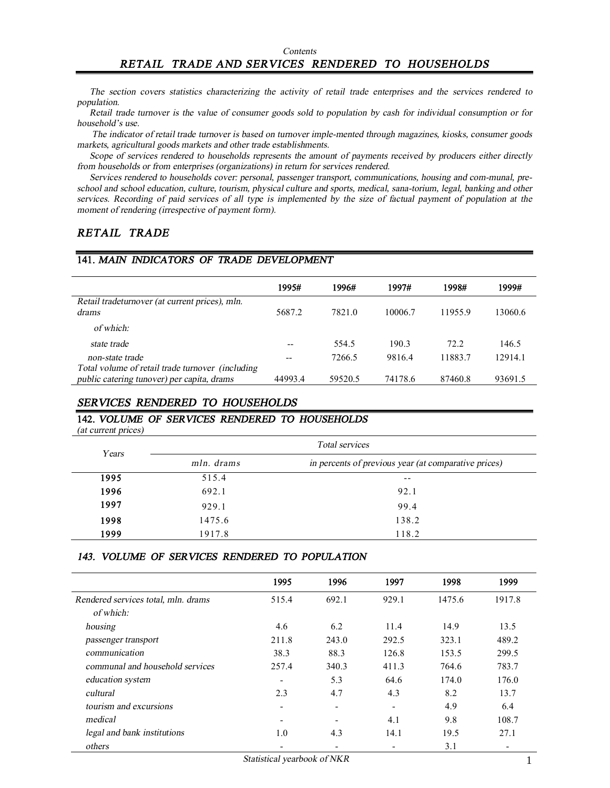# *RETAIL TRADE AND SERVICES RENDERED TO HOUSEHOLDS*

The section covers statistics characterizing the activity of retail trade enterprises and the services rendered to *population.* 

Retail trade turnover is the value of consumer goods sold to population by cash for individual consumption or for *household's use.* 

The indicator of retail trade turnover is based on turnover imple-mented through magazines, kiosks, consumer goods *markets, agricultural goods markets and other trade establishments.* 

Scope of services rendered to households represents the amount of payments received by producers either directly *from households or from enterprises (organizations) in return for services rendered.* 

*Services rendered to households cover: personal, passenger transport, communications, housing and com-munal, preschool and school education, culture, tourism, physical culture and sports, medical, sana-torium, legal, banking and other*  services. Recording of paid services of all type is implemented by the size of factual payment of population at the *moment of rendering (irrespective of payment form).* 

## *RETAIL TRADE*

#### **141.** *MAIN INDICATORS OF TRADE DEVELOPMENT*

|                                                  | 1995#   | 1996#   | 1997#   | 1998#   | 1999#   |
|--------------------------------------------------|---------|---------|---------|---------|---------|
| Retail tradeturnover (at current prices), mln.   |         |         |         |         |         |
| drams                                            | 5687.2  | 7821.0  | 10006.7 | 11955.9 | 13060.6 |
| of which:                                        |         |         |         |         |         |
| state trade                                      |         | 554.5   | 190.3   | 72.2    | 146.5   |
| non-state trade                                  | --      | 7266.5  | 9816.4  | 11883.7 | 12914.1 |
| Total volume of retail trade turnover (including |         |         |         |         |         |
| public catering tunover) per capita, drams       | 44993.4 | 59520.5 | 74178.6 | 87460.8 | 93691.5 |

#### *SERVICES RENDERED TO HOUSEHOLDS*

### **142.** *VOLUME OF SERVICES RENDERED TO HOUSEHOLDS*

*(at current prices)*

| Years | Total services |                                                      |  |
|-------|----------------|------------------------------------------------------|--|
|       | mln. drams     | in percents of previous year (at comparative prices) |  |
| 1995  | 515.4          | $- -$                                                |  |
| 1996  | 692.1          | 92.1                                                 |  |
| 1997  | 929.1          | 99.4                                                 |  |
| 1998  | 1475.6         | 138.2                                                |  |
| 1999  | 1917.8         | 118.2                                                |  |

#### *143. VOLUME OF SERVICES RENDERED TO POPULATION*

|                                                  | 1995                     | 1996                         | 1997  | 1998   | 1999   |
|--------------------------------------------------|--------------------------|------------------------------|-------|--------|--------|
| Rendered services total, mln. drams<br>of which: | 515.4                    | 692.1                        | 929.1 | 1475.6 | 1917.8 |
| housing                                          | 4.6                      | 6.2                          | 11.4  | 14.9   | 13.5   |
| passenger transport                              | 211.8                    | 243.0                        | 292.5 | 323.1  | 489.2  |
| communication                                    | 38.3                     | 88.3                         | 126.8 | 153.5  | 299.5  |
| communal and household services                  | 257.4                    | 340.3                        | 411.3 | 764.6  | 783.7  |
| education system                                 | $\overline{\phantom{0}}$ | 5.3                          | 64.6  | 174.0  | 176.0  |
| cultural                                         | 2.3                      | 4.7                          | 4.3   | 8.2    | 13.7   |
| tourism and excursions                           | -                        | $\qquad \qquad \blacksquare$ | -     | 4.9    | 6.4    |
| medical                                          |                          |                              | 4.1   | 9.8    | 108.7  |
| legal and bank institutions                      | 1.0                      | 4.3                          | 14.1  | 19.5   | 27.1   |
| others                                           |                          |                              |       | 3.1    |        |